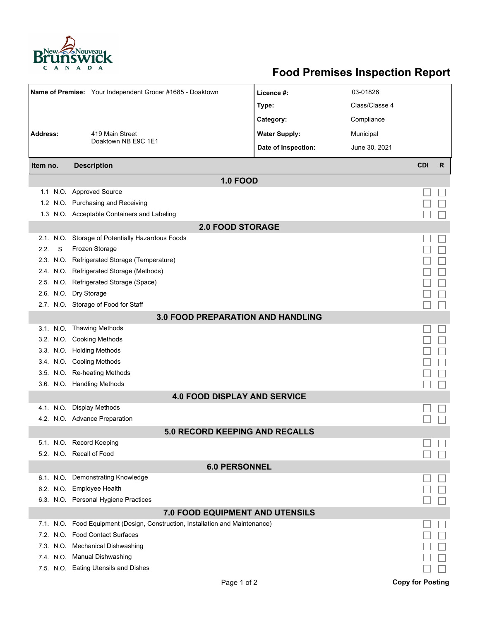

## **Food Premises Inspection Report**

|                             |   | Name of Premise: Your Independent Grocer #1685 - Doaktown                     | Licence #:           | 03-01826       |                         |   |  |  |  |  |  |  |
|-----------------------------|---|-------------------------------------------------------------------------------|----------------------|----------------|-------------------------|---|--|--|--|--|--|--|
|                             |   |                                                                               | Type:                | Class/Classe 4 |                         |   |  |  |  |  |  |  |
|                             |   |                                                                               | Category:            | Compliance     |                         |   |  |  |  |  |  |  |
| Address:<br>419 Main Street |   |                                                                               | <b>Water Supply:</b> | Municipal      |                         |   |  |  |  |  |  |  |
|                             |   | Doaktown NB E9C 1E1                                                           |                      |                |                         |   |  |  |  |  |  |  |
|                             |   |                                                                               | Date of Inspection:  | June 30, 2021  |                         |   |  |  |  |  |  |  |
| Item no.                    |   | <b>Description</b>                                                            |                      |                | <b>CDI</b>              | R |  |  |  |  |  |  |
|                             |   | <b>1.0 FOOD</b>                                                               |                      |                |                         |   |  |  |  |  |  |  |
|                             |   | 1.1 N.O. Approved Source                                                      |                      |                |                         |   |  |  |  |  |  |  |
|                             |   | 1.2 N.O. Purchasing and Receiving                                             |                      |                |                         |   |  |  |  |  |  |  |
|                             |   | 1.3 N.O. Acceptable Containers and Labeling                                   |                      |                |                         |   |  |  |  |  |  |  |
| <b>2.0 FOOD STORAGE</b>     |   |                                                                               |                      |                |                         |   |  |  |  |  |  |  |
|                             |   | 2.1. N.O. Storage of Potentially Hazardous Foods                              |                      |                |                         |   |  |  |  |  |  |  |
| 2.2.                        | S | Frozen Storage                                                                |                      |                |                         |   |  |  |  |  |  |  |
|                             |   | 2.3. N.O. Refrigerated Storage (Temperature)                                  |                      |                |                         |   |  |  |  |  |  |  |
|                             |   | 2.4. N.O. Refrigerated Storage (Methods)                                      |                      |                |                         |   |  |  |  |  |  |  |
|                             |   | 2.5. N.O. Refrigerated Storage (Space)                                        |                      |                |                         |   |  |  |  |  |  |  |
|                             |   | 2.6. N.O. Dry Storage                                                         |                      |                |                         |   |  |  |  |  |  |  |
|                             |   | 2.7. N.O. Storage of Food for Staff                                           |                      |                |                         |   |  |  |  |  |  |  |
|                             |   | 3.0 FOOD PREPARATION AND HANDLING                                             |                      |                |                         |   |  |  |  |  |  |  |
|                             |   | 3.1. N.O. Thawing Methods                                                     |                      |                |                         |   |  |  |  |  |  |  |
|                             |   | 3.2. N.O. Cooking Methods                                                     |                      |                |                         |   |  |  |  |  |  |  |
|                             |   | 3.3. N.O. Holding Methods                                                     |                      |                |                         |   |  |  |  |  |  |  |
|                             |   | 3.4. N.O. Cooling Methods                                                     |                      |                |                         |   |  |  |  |  |  |  |
|                             |   | 3.5. N.O. Re-heating Methods                                                  |                      |                |                         |   |  |  |  |  |  |  |
|                             |   | 3.6. N.O. Handling Methods                                                    |                      |                |                         |   |  |  |  |  |  |  |
|                             |   | <b>4.0 FOOD DISPLAY AND SERVICE</b>                                           |                      |                |                         |   |  |  |  |  |  |  |
|                             |   | 4.1. N.O. Display Methods                                                     |                      |                |                         |   |  |  |  |  |  |  |
|                             |   | 4.2. N.O. Advance Preparation                                                 |                      |                |                         |   |  |  |  |  |  |  |
|                             |   | 5.0 RECORD KEEPING AND RECALLS                                                |                      |                |                         |   |  |  |  |  |  |  |
|                             |   | 5.1. N.O. Record Keeping                                                      |                      |                |                         |   |  |  |  |  |  |  |
|                             |   | 5.2. N.O. Recall of Food                                                      |                      |                |                         |   |  |  |  |  |  |  |
|                             |   | <b>6.0 PERSONNEL</b>                                                          |                      |                |                         |   |  |  |  |  |  |  |
|                             |   | 6.1. N.O. Demonstrating Knowledge                                             |                      |                |                         |   |  |  |  |  |  |  |
|                             |   | 6.2. N.O. Employee Health                                                     |                      |                |                         |   |  |  |  |  |  |  |
|                             |   | 6.3. N.O. Personal Hygiene Practices                                          |                      |                |                         |   |  |  |  |  |  |  |
|                             |   | 7.0 FOOD EQUIPMENT AND UTENSILS                                               |                      |                |                         |   |  |  |  |  |  |  |
|                             |   | 7.1. N.O. Food Equipment (Design, Construction, Installation and Maintenance) |                      |                |                         |   |  |  |  |  |  |  |
|                             |   | 7.2. N.O. Food Contact Surfaces                                               |                      |                |                         |   |  |  |  |  |  |  |
|                             |   | 7.3. N.O. Mechanical Dishwashing                                              |                      |                |                         |   |  |  |  |  |  |  |
|                             |   | 7.4. N.O. Manual Dishwashing                                                  |                      |                |                         |   |  |  |  |  |  |  |
|                             |   | 7.5. N.O. Eating Utensils and Dishes                                          |                      |                |                         |   |  |  |  |  |  |  |
|                             |   | Page 1 of 2                                                                   |                      |                | <b>Copy for Posting</b> |   |  |  |  |  |  |  |